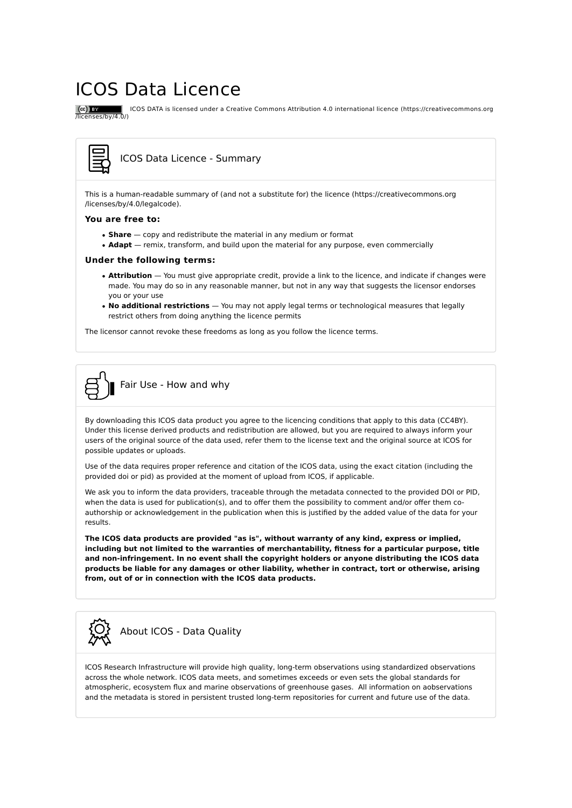# ICOS Data Licence

 ICOS DATA is licensed under a Creative Commons Attribution 4.0 international licence (https://creativecommons.org /licenses/by/4.0/)

### ICOS Data Licence - Summary

This is a human-readable summary of (and not a substitute for) the licence (https://creativecommons.org /licenses/by/4.0/legalcode).

#### **You are free to:**

 $(cc)$  BY

- **Share** copy and redistribute the material in any medium or format
- **Adapt** remix, transform, and build upon the material for any purpose, even commercially

#### **Under the following terms:**

- **Attribution** You must give appropriate credit, provide a link to the licence, and indicate if changes were made. You may do so in any reasonable manner, but not in any way that suggests the licensor endorses you or your use
- **No additional restrictions** You may not apply legal terms or technological measures that legally restrict others from doing anything the licence permits

The licensor cannot revoke these freedoms as long as you follow the licence terms.



By downloading this ICOS data product you agree to the licencing conditions that apply to this data (CC4BY). Under this license derived products and redistribution are allowed, but you are required to always inform your users of the original source of the data used, refer them to the license text and the original source at ICOS for possible updates or uploads.

Use of the data requires proper reference and citation of the ICOS data, using the exact citation (including the provided doi or pid) as provided at the moment of upload from ICOS, if applicable.

We ask you to inform the data providers, traceable through the metadata connected to the provided DOI or PID, when the data is used for publication(s), and to offer them the possibility to comment and/or offer them coauthorship or acknowledgement in the publication when this is justified by the added value of the data for your results.

**The ICOS data products are provided "as is", without warranty of any kind, express or implied, including but not limited to the warranties of merchantability, fitness for a particular purpose, title and non-infringement. In no event shall the copyright holders or anyone distributing the ICOS data products be liable for any damages or other liability, whether in contract, tort or otherwise, arising from, out of or in connection with the ICOS data products.**



## About ICOS - Data Quality

ICOS Research Infrastructure will provide high quality, long-term observations using standardized observations across the whole network. ICOS data meets, and sometimes exceeds or even sets the global standards for atmospheric, ecosystem flux and marine observations of greenhouse gases. All information on aobservations and the metadata is stored in persistent trusted long-term repositories for current and future use of the data.